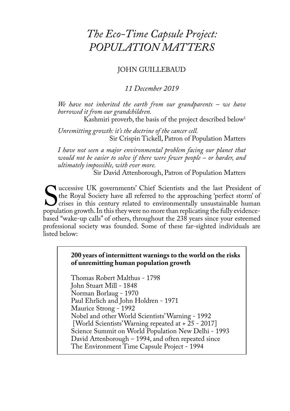# JOHN GUILLEBAUD

# *11 December 2019*

*We have not inherited the earth from our grandparents – we have borrowed it from our grandchildren.*

Kashmiri proverb, the basis of the project described below<sup>1</sup>

*Unremitting growth: it's the doctrine of the cancer cell.* Sir Crispin Tickell, Patron of Population Matters

*I have not seen a major environmental problem facing our planet that would not be easier to solve if there were fewer people – or harder, and ultimately impossible, with ever more.*

Sir David Attenborough, Patron of Population Matters

Successive UK governments' Chief Scientists and the last President of the Royal Society have all referred to the approaching 'perfect storm' of crises in this century related to environmentally unsustainable human populati Tuccessive UK governments' Chief Scientists and the last President of the Royal Society have all referred to the approaching 'perfect storm' of crises in this century related to environmentally unsustainable human population growth. In this they were no more than replicating the fully evidencebased "wake-up calls" of others, throughout the 238 years since your esteemed professional society was founded. Some of these far-sighted individuals are listed below:

## **200 years of intermittent warnings to the world on the risks of unremitting human population growth**

Thomas Robert Malthus - 1798 John Stuart Mill - 1848 Norman Borlaug - 1970 Paul Ehrlich and John Holdren - 1971 Maurice Strong - 1992 Nobel and other World Scientists' Warning - 1992 [World Scientists' Warning repeated at + 25 - 2017] Science Summit on World Population New Delhi - 1993 David Attenborough – 1994, and often repeated since The Environment Time Capsule Project - 1994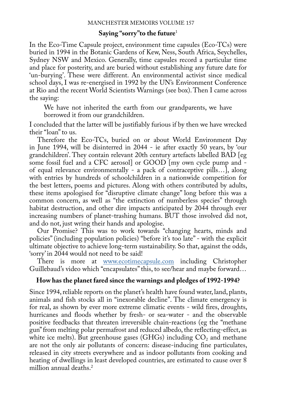## **Saying "sorry"to the future**<sup>1</sup>

In the Eco-Time Capsule project, environment time capsules (Eco-TCs) were buried in 1994 in the Botanic Gardens of Kew, Ness, South Africa, Seychelles, Sydney NSW and Mexico. Generally, time capsules record a particular time and place for posterity, and are buried without establishing any future date for 'un-burying'. These were different. An environmental activist since medical school days, I was re-energised in 1992 by the UN's Environment Conference at Rio and the recent World Scientists Warnings (see box). Then I came across the saying:

We have not inherited the earth from our grandparents, we have borrowed it from our grandchildren.

I concluded that the latter will be justifiably furious if by then we have wrecked their "loan" to us.

Therefore the Eco-TCs, buried on or about World Environment Day in June 1994, will be disinterred in 2044 - ie after exactly 50 years, by 'our grandchildren'. They contain relevant 20th century artefacts labelled BAD [eg some fossil fuel and a CFC aerosol] or GOOD [my own cycle pump and of equal relevance environmentally - a pack of contraceptive pills…], along with entries by hundreds of schoolchildren in a nationwide competition for the best letters, poems and pictures. Along with others contributed by adults, these items apologised for "disruptive climate change" long before this was a common concern, as well as "the extinction of numberless species" through habitat destruction, and other dire impacts anticipated by 2044 through ever increasing numbers of planet-trashing humans. BUT those involved did not, and do not, just wring their hands and apologise.

Our Promise? This was to work towards "changing hearts, minds and policies" (including population policies) "before it's too late" - with the explicit ultimate objective to achieve long-term sustainability. So that, against the odds, 'sorry' in 2044 would not need to be said!

There is more at www.ecotimecapsule.com including Christopher Guillebaud's video which "encapsulates" this, to see/hear and maybe forward…

## **How has the planet fared since the warnings and pledges of 1992-1994?**

Since 1994, reliable reports on the planet's health have found water, land, plants, animals and fish stocks all in "inexorable decline". The climate emergency is for real, as shown by ever more extreme climatic events - wild fires, droughts, hurricanes and floods whether by fresh- or sea-water - and the observable positive feedbacks that threaten irreversible chain-reactions (eg the "methane gun" from melting polar permafrost and reduced albedo, the reflecting-effect, as white ice melts). But greenhouse gases (GHGs) including  $CO<sub>2</sub>$  and methane are not the only air pollutants of concern: disease-inducing fine particulates, released in city streets everywhere and as indoor pollutants from cooking and heating of dwellings in least developed countries, are estimated to cause over 8 million annual deaths.2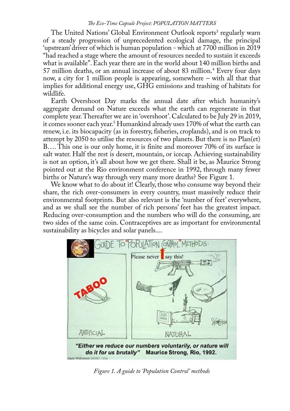The United Nations' Global Environment Outlook reports' regularly warn of a steady progression of unprecedented ecological damage, the principal 'upstream' driver of which is human population - which at 7700 million in 2019 "had reached a stage where the amount of resources needed to sustain it exceeds what is available". Each year there are in the world about 140 million births and 57 million deaths, or an annual increase of about 83 million.4 Every four days now, a city for 1 million people is appearing, somewhere – with all that that implies for additional energy use, GHG emissions and trashing of habitats for wildlife.

Earth Overshoot Day marks the annual date after which humanity's aggregate demand on Nature exceeds what the earth can regenerate in that complete year. Thereafter we are in 'overshoot'. Calculated to be July 29 in 2019, it comes sooner each year.<sup>5</sup> Humankind already uses 170% of what the earth can renew, i.e. its biocapacity (as in forestry, fisheries, croplands), and is on track to attempt by 2050 to utilise the resources of two planets. But there is no Plan(et) B…. This one is our only home, it is finite and moreover 70% of its surface is salt water. Half the rest is desert, mountain, or icecap. Achieving sustainability is not an option, it's all about how we get there. Shall it be, as Maurice Strong pointed out at the Rio environment conference in 1992, through many fewer births or Nature's way through very many more deaths? See Figure 1.

We know what to do about it! Clearly, those who consume way beyond their share, the rich over-consumers in every country, must massively reduce their environmental footprints. But also relevant is the 'number of feet' everywhere, and as we shall see the number of rich persons' feet has the greatest impact. Reducing over-consumption and the numbers who will do the consuming, are two sides of the same coin. Contraceptives are as important for environmental sustainability as bicycles and solar panels....



*Figure 1. A guide to 'Population Control' methods*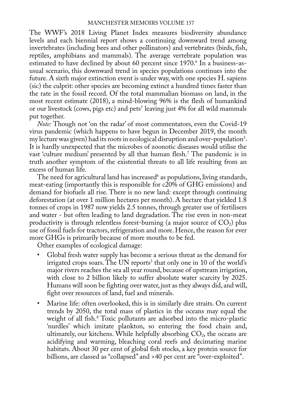The WWF's 2018 Living Planet Index measures biodiversity abundance levels and each biennial report shows a continuing downward trend among invertebrates (including bees and other pollinators) and vertebrates (birds, fish, reptiles, amphibians and mammals). The average vertebrate population was estimated to have declined by about 60 percent since 1970.<sup>6</sup> In a business-asusual scenario, this downward trend in species populations continues into the future. A sixth major extinction event is under way, with one species H. sapiens (sic) the culprit: other species are becoming extinct a hundred times faster than the rate in the fossil record. Of the total mammalian biomass on land, in the most recent estimate (2018), a mind-blowing 96% is the flesh of humankind or our livestock (cows, pigs etc) and pets' leaving just 4% for all wild mammals put together.

*Note:* Though not 'on the radar' of most commentators, even the Covid-19 virus pandemic (which happens to have begun in December 2019, the month my lecture was given) had its roots in ecological disruption and over-population<sup>3</sup>. It is hardly unexpected that the microbes of zoonotic diseases would utilise the vast 'culture medium' presented by all that human flesh.7 The pandemic is in truth another symptom of the existential threats to all life resulting from an excess of human life.

The need for agricultural land has increased as populations, living standards, meat-eating (importantly this is responsible for c20% of GHG emissions) and demand for biofuels all rise. There is no new land: except through continuing deforestation (at over 1 million hectares per month). A hectare that yielded 1.8 tonnes of crops in 1987 now yields 2.5 tonnes, through greater use of fertilisers and water - but often leading to land degradation. The rise even in non-meat productivity is through relentless forest-burning (a major source of  $CO<sub>2</sub>$ ) plus use of fossil fuels for tractors, refrigeration and more. Hence, the reason for ever more GHGs is primarily because of more mouths to be fed.

Other examples of ecological damage:

- Global fresh water supply has become a serious threat as the demand for irrigated crops soars. The UN reports $\alpha$  that only one in 10 of the world's major rivers reaches the sea all year round, because of upstream irrigation, with close to 2 billion likely to suffer absolute water scarcity by 2025. Humans will soon be fighting over water, just as they always did, and will, fight over resources of land, fuel and minerals.
- Marine life: often overlooked, this is in similarly dire straits. On current trends by 2050, the total mass of plastics in the oceans may equal the weight of all fish.8 Toxic pollutants are adsorbed into the micro-plastic 'nurdles' which imitate plankton, so entering the food chain and, ultimately, our kitchens. While helpfully absorbing  $CO<sub>2</sub>$ , the oceans are acidifying and warming, bleaching coral reefs and decimating marine habitats. About 30 per cent of global fish stocks, a key protein source for billions, are classed as "collapsed" and >40 per cent are "over-exploited".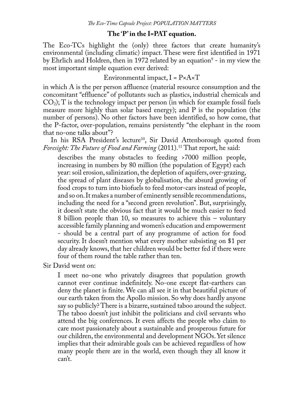## **The 'P' in the I=PAT equation.**

The Eco-TCs highlight the (only) three factors that create humanity's environmental (including climatic) impact. These were first identified in 1971 by Ehrlich and Holdren, then in 1972 related by an equation<sup>9</sup> - in my view the most important simple equation ever derived:

Environmental impact,  $I = P \times A \times T$ 

in which A is the per person affluence (material resource consumption and the concomitant "effluence" of pollutants such as plastics, industrial chemicals and  $CO<sub>2</sub>$ ); T is the technology impact per person (in which for example fossil fuels measure more highly than solar based energy); and P is the population (the number of persons). No other factors have been identified, so how come, that the P-factor, over-population, remains persistently "the elephant in the room that no-one talks about"?

In his RSA President's lecture<sup>10</sup>, Sir David Attenborough quoted from *Foresight: The Future of Food and Farming* (2011).<sup>11</sup> That report, he said:

describes the many obstacles to feeding >7000 million people, increasing in numbers by 80 million (the population of Egypt) each year: soil erosion, salinization, the depletion of aquifers, over-grazing, the spread of plant diseases by globalisation, the absurd growing of food crops to turn into biofuels to feed motor-cars instead of people, and so on. It makes a number of eminently sensible recommendations, including the need for a "second green revolution". But, surprisingly, it doesn't state the obvious fact that it would be much easier to feed 8 billion people than 10, so measures to achieve this – voluntary accessible family planning and women's education and empowerment - should be a central part of any programme of action for food security. It doesn't mention what every mother subsisting on \$1 per day already knows, that her children would be better fed if there were four of them round the table rather than ten.

Sir David went on:

I meet no-one who privately disagrees that population growth cannot ever continue indefinitely. No-one except flat-earthers can deny the planet is finite. We can all see it in that beautiful picture of our earth taken from the Apollo mission. So why does hardly anyone say so publicly? There is a bizarre, sustained taboo around the subject. The taboo doesn't just inhibit the politicians and civil servants who attend the big conferences. It even affects the people who claim to care most passionately about a sustainable and prosperous future for our children, the environmental and development NGOs. Yet silence implies that their admirable goals can be achieved regardless of how many people there are in the world, even though they all know it can't.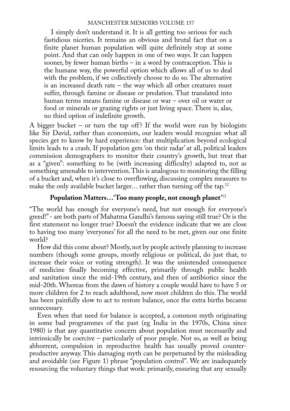I simply don't understand it. It is all getting too serious for such fastidious niceties. It remains an obvious and brutal fact that on a finite planet human population will quite definitely stop at some point. And that can only happen in one of two ways. It can happen sooner, by fewer human births – in a word by contraception. This is the humane way, the powerful option which allows all of us to deal with the problem, if we collectively choose to do so. The alternative is an increased death rate – the way which all other creatures must suffer, through famine or disease or predation. That translated into human terms means famine or disease or war – over oil or water or food or minerals or grazing rights or just living space. There is, alas, no third option of indefinite growth.

A bigger bucket – or turn the tap off? If the world were run by biologists like Sir David, rather than economists, our leaders would recognize what all species get to know by hard experience: that multiplication beyond ecological limits leads to a crash. If population gets 'on their radar' at all, political leaders commission demographers to monitor their country's growth, but treat that as a "given": something to be (with increasing difficulty) adapted to, not as something amenable to intervention. This is analogous to monitoring the filling of a bucket and, when it's close to overflowing, discussing complex measures to make the only available bucket larger... rather than turning off the tap.<sup>12</sup>

# **Population Matters…'Too many people, not enough planet'**<sup>12</sup>

"The world has enough for everyone's need, but not enough for everyone's greed!" - are both parts of Mahatma Gandhi's famous saying still true? Or is the first statement no longer true? Doesn't the evidence indicate that we are close to having too many 'everyones' for all the need to be met, given our one finite world?

How did this come about? Mostly, not by people actively planning to increase numbers (though some groups, mostly religious or political, do just that, to increase their voice or voting strength). It was the unintended consequence of medicine finally becoming effective, primarily through public health and sanitation since the mid-19th century, and then of antibiotics since the mid-20th. Whereas from the dawn of history a couple would have to have 5 or more children for 2 to reach adulthood, now most children do this. The world has been painfully slow to act to restore balance, once the extra births became unnecessary.

Even when that need for balance is accepted, a common myth originating in some bad programmes of the past (eg India in the 1970s, China since 1980) is that any quantitative concern about population must necessarily and intrinsically be coercive – particularly of poor people. Not so, as well as being abhorrent, compulsion in reproductive health has usually proved counterproductive anyway. This damaging myth can be perpetuated by the misleading and avoidable (see Figure 1) phrase "population control". We are inadequately resourcing the voluntary things that work: primarily, ensuring that any sexually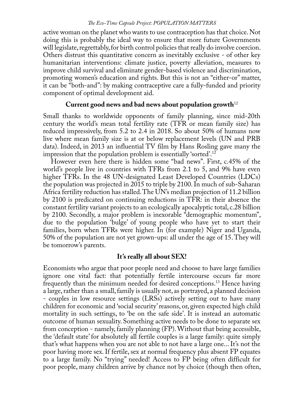active woman on the planet who wants to use contraception has that choice. Not doing this is probably the ideal way to ensure that more future Governments will legislate, regrettably, for birth control policies that really do involve coercion. Others distrust this quantitative concern as inevitably exclusive - of other key humanitarian interventions: climate justice, poverty alleviation, measures to improve child survival and eliminate gender-based violence and discrimination, promoting women's education and rights. But this is not an "either-or" matter, it can be "both-and": by making contraceptive care a fully-funded and priority component of optimal development aid.

# **Current good news and bad news about population growth**<sup>12</sup>

Small thanks to worldwide opponents of family planning, since mid-20th century the world's mean total fertility rate (TFR or mean family size) has reduced impressively, from 5.2 to 2.4 in 2018. So about 50% of humans now live where mean family size is at or below replacement levels (UN and PRB data). Indeed, in 2013 an influential TV film by Hans Rosling gave many the impression that the population problem is essentially 'sorted'.12

However even here there is hidden some "bad news". First, c.45% of the world's people live in countries with TFRs from 2.1 to 5, and 9% have even higher TFRs. In the 48 UN-designated Least Developed Countries (LDCs) the population was projected in 2015 to triple by 2100. In much of sub-Saharan Africa fertility reduction has stalled. The UN's median projection of 11.2 billion by 2100 is predicated on continuing reductions in TFR: in their absence the constant fertility variant projects to an ecologically apocalyptic total, c.28 billion by 2100. Secondly, a major problem is inexorable "demographic momentum", due to the population 'bulge' of young people who have yet to start their families, born when TFRs were higher. In (for example) Niger and Uganda, 50% of the population are not yet grown-ups: all under the age of 15. They will be tomorrow's parents.

## **It's really all about SEX!**

Economists who argue that poor people need and choose to have large families ignore one vital fact: that potentially fertile intercourse occurs far more frequently than the minimum needed for desired conceptions.13 Hence having a large, rather than a small, family is usually not, as portrayed, a planned decision - couples in low resource settings (LRSs) actively setting out to have many children for economic and 'social security' reasons, or, given expected high child mortality in such settings, to 'be on the safe side'. It is instead an automatic outcome of human sexuality. Something active needs to be done to separate sex from conception - namely, family planning (FP). Without that being accessible, the 'default state' for absolutely all fertile couples is a large family: quite simply that's what happens when you are not able to not have a large one... It's not the poor having more sex. If fertile, sex at normal frequency plus absent FP equates to a large family. No "trying" needed! Access to FP being often difficult for poor people, many children arrive by chance not by choice (though then often,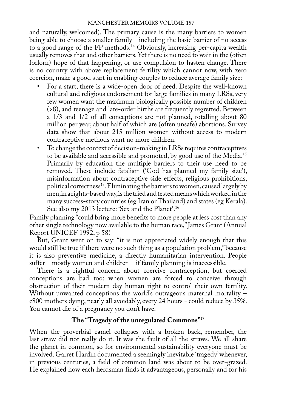and naturally, welcomed). The primary cause is the many barriers to women being able to choose a smaller family - including the basic barrier of no access to a good range of the FP methods.<sup>14</sup> Obviously, increasing per-capita wealth usually removes that and other barriers. Yet there is no need to wait in the (often forlorn) hope of that happening, or use compulsion to hasten change. There is no country with above replacement fertility which cannot now, with zero coercion, make a good start in enabling couples to reduce average family size:

- For a start, there is a wide-open door of need. Despite the well-known cultural and religious endorsement for large families in many LRSs, very few women want the maximum biologically possible number of children (>8), and teenage and late-order births are frequently regretted. Between a 1/3 and 1/2 of all conceptions are not planned, totalling about 80 million per year, about half of which are (often unsafe) abortions. Survey data show that about 215 million women without access to modern contraceptive methods want no more children.
- To change the context of decision-making in LRSs requires contraceptives to be available and accessible and promoted, by good use of the Media.15 Primarily by education the multiple barriers to their use need to be removed. These include fatalism ('God has planned my family size'), misinformation about contraceptive side effects, religious prohibitions, political correctness<sup>13</sup>. Eliminating the barriers to women, caused largely by men, in a rights-based way, is the tried and tested means which worked in the many success-story countries (eg Iran or Thailand) and states (eg Kerala). See also my 2013 lecture: 'Sex and the Planet'.16

Family planning "could bring more benefits to more people at less cost than any other single technology now available to the human race," James Grant (Annual Report UNICEF 1992, p 58)

But, Grant went on to say: "it is not appreciated widely enough that this would still be true if there were no such thing as a population problem," because it is also preventive medicine, a directly humanitarian intervention. People suffer – mostly women and children – if family planning is inaccessible.

There is a rightful concern about coercive contraception, but coerced conceptions are bad too: when women are forced to conceive through obstruction of their modern-day human right to control their own fertility. Without unwanted conceptions the world's outrageous maternal mortality – c800 mothers dying, nearly all avoidably, every 24 hours - could reduce by 35%. You cannot die of a pregnancy you don't have.

# **The "Tragedy of the unregulated Commons"**<sup>17</sup>

When the proverbial camel collapses with a broken back, remember, the last straw did not really do it. It was the fault of all the straws. We all share the planet in common, so for environmental sustainability everyone must be involved. Garret Hardin documented a seemingly inevitable 'tragedy' whenever, in previous centuries, a field of common land was about to be over-grazed. He explained how each herdsman finds it advantageous, personally and for his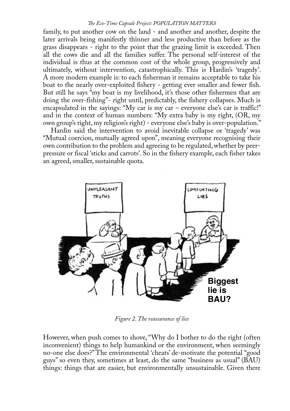family, to put another cow on the land - and another and another, despite the later arrivals being manifestly thinner and less productive than before as the grass disappears - right to the point that the grazing limit is exceeded. Then all the cows die and all the families suffer. The personal self-interest of the individual is thus at the common cost of the whole group, progressively and ultimately, without intervention, catastrophically. This is Hardin's 'tragedy'. A more modern example is: to each fisherman it remains acceptable to take his boat to the nearly over-exploited fishery - getting ever smaller and fewer fish. But still he says "my boat is my livelihood, it's those other fishermen that are doing the over-fishing"- right until, predictably, the fishery collapses. Much is encapsulated in the sayings: "My car is my car – everyone else's car is traffic!" and in the context of human numbers: "My extra baby is my right, (OR, my own group's right, my religion's right) - everyone else's baby is over-population."

Hardin said the intervention to avoid inevitable collapse or 'tragedy' was "Mutual coercion, mutually agreed upon", meaning everyone recognising their own contribution to the problem and agreeing to be regulated, whether by peerpressure or fiscal 'sticks and carrots'. So in the fishery example, each fisher takes an agreed, smaller, sustainable quota.



*Figure 2. The reassurance of lies*

However, when push comes to shove, "Why do I bother to do the right (often inconvenient) things to help humankind or the environment, when seemingly no-one else does?" The environmental 'cheats' de-motivate the potential "good guys" so even they, sometimes at least, do the same "business as usual" (BAU) things: things that are easier, but environmentally unsustainable. Given there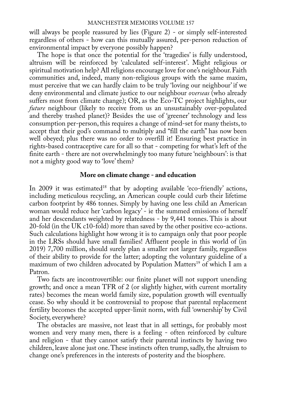will always be people reassured by lies (Figure 2) - or simply self-interested regardless of others - how can this mutually assured, per-person reduction of environmental impact by everyone possibly happen?

The hope is that once the potential for the 'tragedies' is fully understood, altruism will be reinforced by 'calculated self-interest'. Might religious or spiritual motivation help? All religions encourage love for one's neighbour. Faith communities and, indeed, many non-religious groups with the same maxim, must perceive that we can hardly claim to be truly 'loving our neighbour' if we deny environmental and climate justice to our neighbour *overseas* (who already suffers most from climate change); OR, as the Eco-TC project highlights, our *future* neighbour (likely to receive from us an unsustainably over-populated and thereby trashed planet)? Besides the use of 'greener' technology and less consumption per-person, this requires a change of mind-set for many theists, to accept that their god's command to multiply and "fill the earth" has now been well obeyed; plus there was no order to overfill it! Ensuring best practice in rights-based contraceptive care for all so that - competing for what's left of the finite earth - there are not overwhelmingly too many future 'neighbours': is that not a mighty good way to 'love' them?

### **More on climate change - and education**

In 2009 it was estimated<sup>18</sup> that by adopting available 'eco-friendly' actions, including meticulous recycling, an American couple could curb their lifetime carbon footprint by 486 tonnes. Simply by having one less child an American woman would reduce her 'carbon legacy' - ie the summed emissions of herself and her descendants weighted by relatedness - by 9,441 tonnes. This is about 20-fold (in the UK c10-fold) more than saved by the other positive eco-actions. Such calculations highlight how wrong it is to campaign only that poor people in the LRSs should have small families! Affluent people in this world of (in 2019) 7,700 million, should surely plan a smaller not larger family, regardless of their ability to provide for the latter; adopting the voluntary guideline of a maximum of two children advocated by Population Matters<sup>19</sup> of which I am a Patron.

Two facts are incontrovertible: our finite planet will not support unending growth; and once a mean TFR of 2 (or slightly higher, with current mortality rates) becomes the mean world family size, population growth will eventually cease. So why should it be controversial to propose that parental replacement fertility becomes the accepted upper-limit norm, with full 'ownership' by Civil Society, everywhere?

The obstacles are massive, not least that in all settings, for probably most women and very many men, there is a feeling - often reinforced by culture and religion - that they cannot satisfy their parental instincts by having two children, leave alone just one. These instincts often trump, sadly, the altruism to change one's preferences in the interests of posterity and the biosphere.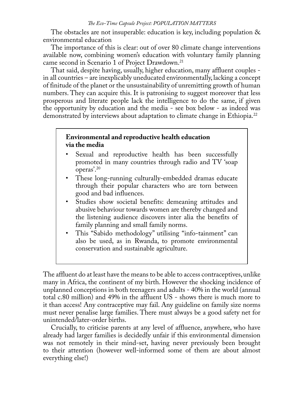The obstacles are not insuperable: education is key, including population & environmental education

The importance of this is clear: out of over 80 climate change interventions available now, combining women's education with voluntary family planning came second in Scenario 1 of Project Drawdown.21

That said, despite having, usually, higher education, many affluent couples in all countries – are inexplicably uneducated environmentally, lacking a concept of finitude of the planet or the unsustainability of unremitting growth of human numbers. They can acquire this. It is patronising to suggest moreover that less prosperous and literate people lack the intelligence to do the same, if given the opportunity by education and the media - see box below - as indeed was demonstrated by interviews about adaptation to climate change in Ethiopia.<sup>22</sup>

# **Environmental and reproductive health education via the media**

- Sexual and reproductive health has been successfully promoted in many countries through radio and TV 'soap operas'.20
- These long-running culturally-embedded dramas educate through their popular characters who are torn between good and bad influences.
- Studies show societal benefits: demeaning attitudes and abusive behaviour towards women are thereby changed and the listening audience discovers inter alia the benefits of family planning and small family norms.
- This "Sabido methodology" utilising "info-tainment" can also be used, as in Rwanda, to promote environmental conservation and sustainable agriculture.

The affluent do at least have the means to be able to access contraceptives, unlike many in Africa, the continent of my birth. However the shocking incidence of unplanned conceptions in both teenagers and adults - 40% in the world (annual total c.80 million) and 49% in the affluent US - shows there is much more to it than access! Any contraceptive may fail. Any guideline on family size norms must never penalise large families. There must always be a good safety net for unintended/later-order births.

Crucially, to criticise parents at any level of affluence, anywhere, who have already had larger families is decidedly unfair if this environmental dimension was not remotely in their mind-set, having never previously been brought to their attention (however well-informed some of them are about almost everything else!)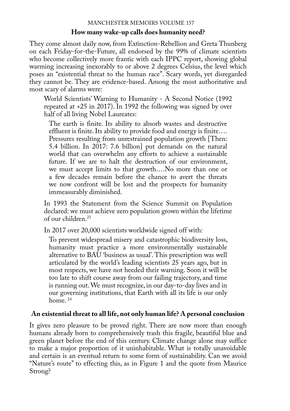# **How many wake-up calls does humanity need?**

They come almost daily now, from Extinction-Rebellion and Greta Thunberg on each Friday-for-the-Future, all endorsed by the 99% of climate scientists who become collectively more frantic with each IPPC report, showing global warming increasing inexorably to or above 2 degrees Celsius, the level which poses an "existential threat to the human race". Scary words, yet disregarded they cannot be. They are evidence-based. Among the most authoritative and most scary of alarms were:

World Scientists' Warning to Humanity - A Second Notice (1992 repeated at +25 in 2017). In 1992 the following was signed by over half of all living Nobel Laureates:

The earth is finite. Its ability to absorb wastes and destructive effluent is finite. Its ability to provide food and energy is finite…. Pressures resulting from unrestrained population growth [Then: 5.4 billion. In 2017: 7.6 billion] put demands on the natural world that can overwhelm any efforts to achieve a sustainable future. If we are to halt the destruction of our environment, we must accept limits to that growth….No more than one or a few decades remain before the chance to avert the threats we now confront will be lost and the prospects for humanity immeasurably diminished.

In 1993 the Statement from the Science Summit on Population declared: we must achieve zero population grown within the lifetime of our children.23

In 2017 over 20,000 scientists worldwide signed off with:

To prevent widespread misery and catastrophic biodiversity loss, humanity must practice a more environmentally sustainable alternative to BAU 'business as usual'. This prescription was well articulated by the world's leading scientists 25 years ago, but in most respects, we have not heeded their warning. Soon it will be too late to shift course away from our failing trajectory, and time is running out. We must recognize, in our day-to-day lives and in our governing institutions, that Earth with all its life is our only home.<sup>24</sup>

# **An existential threat to all life, not only human life? A personal conclusion**

It gives zero pleasure to be proved right. There are now more than enough humans already born to comprehensively trash this fragile, beautiful blue and green planet before the end of this century. Climate change alone may suffice to make a major proportion of it uninhabitable. What is totally unavoidable and certain is an eventual return to some form of sustainability. Can we avoid "Nature's route" to effecting this, as in Figure 1 and the quote from Maurice Strong?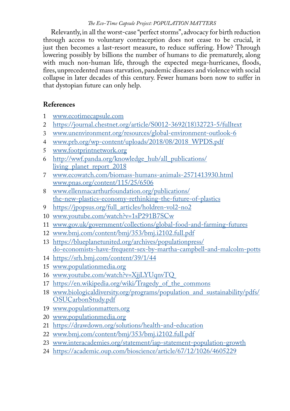Relevantly, in all the worst-case "perfect storms", advocacy for birth reduction through access to voluntary contraception does not cease to be crucial, it just then becomes a last-resort measure, to reduce suffering. How? Through lowering possibly by billions the number of humans to die prematurely, along with much non-human life, through the expected mega-hurricanes, floods, fires, unprecedented mass starvation, pandemic diseases and violence with social collapse in later decades of this century. Fewer humans born now to suffer in that dystopian future can only help.

# **References**

- 1 www.ecotimecapsule.com
- 2 https://journal.chestnet.org/article/S0012-3692(18)32723-5/fulltext<br>3 www.unenvironment.org/resources/global-environment-outlook-6
- 3 www.unenvironment.org/resources/global-environment-outlook-6
- 4 www.prb.org/wp-content/uploads/2018/08/2018\_WPDS.pdf
- 5 www.footprintnetwork.org
- 6 http://wwf.panda.org/knowledge\_hub/all\_publications/ living\_planet\_report\_2018
- 7 www.ecowatch.com/biomass-humans-animals-2571413930.html www.pnas.org/content/115/25/6506
- 8 www.ellenmacarthurfoundation.org/publications/ the-new-plastics-economy-rethinking-the-future-of-plastics
- 9 https://jpopsus.org/full\_articles/holdren-vol2-no2
- 10 www.youtube.com/watch?v=1sP291B7SCw
- 11 www.gov.uk/government/collections/global-food-and-farming-futures
- 12 www.bmj.com/content/bmj/353/bmj.i2102.full.pdf
- 13 https://blueplanetunited.org/archives/populationpress/ do-economists-have-frequent-sex-by-martha-campbell-and-malcolm-potts
- 14 https://srh.bmj.com/content/39/1/44
- 15 www.populationmedia.org
- 16 www.youtube.com/watch?v=XjjLYUqnvTQ
- 17 https://en.wikipedia.org/wiki/Tragedy of the commons
- 18 www.biologicaldiversity.org/programs/population\_and\_sustainability/pdfs/ OSUCarbonStudy.pdf
- 19 www.populationmatters.org
- 20 www.populationmedia.org
- 21 https://drawdown.org/solutions/health-and-education
- 22 www.bmj.com/content/bmj/353/bmj.i2102.full.pdf
- 23 www.interacademies.org/statement/iap-statement-population-growth
- 24 https://academic.oup.com/bioscience/article/67/12/1026/4605229